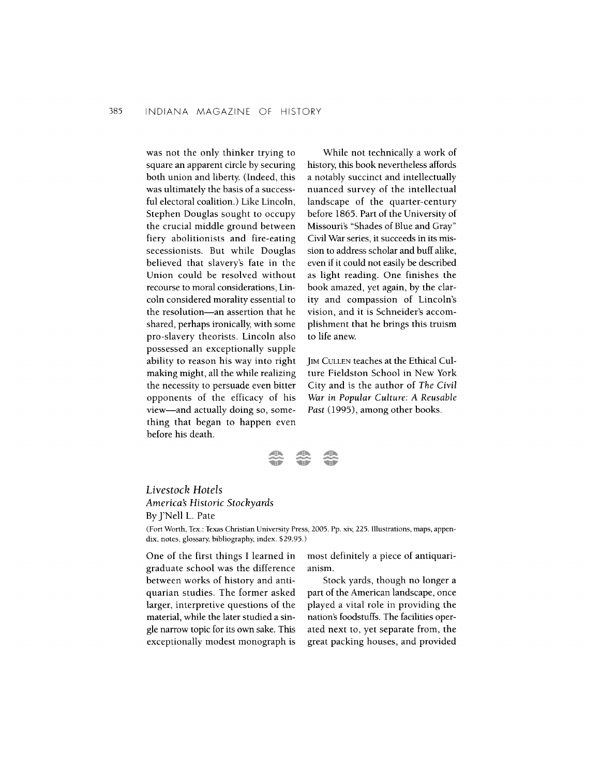was not the only thinker trying to square an apparent circle by securing both union and liberty. (Indeed, this was ultimately the basis of a successful electoral coalition.) Like Lincoln, Stephen Douglas sought to occupy the crucial middle ground between fiery abolitionists and fire-eating secessionists. But while Douglas believed that slavery's fate in the Union could be resolved without recourse to moral considerations, Lincoln considered morality essential to the resolution-an assertion that he shared, perhaps ironically, with some pro-slavery theorists. Lincoln also possessed an exceptionally supple ability to reason his way into right making might, all the while realizing the necessity to persuade even bitter opponents of the efficacy of his view-and actually doing so, something that began to happen even before his death.

While not technically a work of history this book nevertheless affords a notably succinct and intellectually nuanced survey of the intellectual landscape of the quarter-century before 1865. Part of the University of Missouri's "Shades of Blue and Gray" Civil War series, it succeeds in its mission to address scholar and buff alike, even if it could not easily be described as light reading. One finishes the book amazed, yet again, by the clarity and compassion of Lincoln's vision, and it is Schneider's accomplishment that he brings this truism to life anew.

JIM CULLEN teaches at the Ethical Culture Fieldston School in New York City and is the author of The Civil War in Popular Culture: **A** Reusable Past (1995), among other books.



## Livestock Hotels America5 Historic Stockyards By J'Nell L. Pate

(Fort Worth, **Tex.:** Texas Christian University Press, 2005. Pp. xiv, 225. Illustrations, maps, appendix, notes, glossary, bibliography, index. \$29.95.)

One of the first things I learned in graduate school was the difference between works of history and antiquarian studies. The former asked larger, interpretive questions of the material, while the later studied a single narrow topic for its own sake. This exceptionally modest monograph is most definitely a piece of antiquarianism.

Stock yards, though no longer a part of the American landscape, once played a vital role in providing the nation's foodstuffs. The facilities operated next to, yet separate from, the great packing houses, and provided